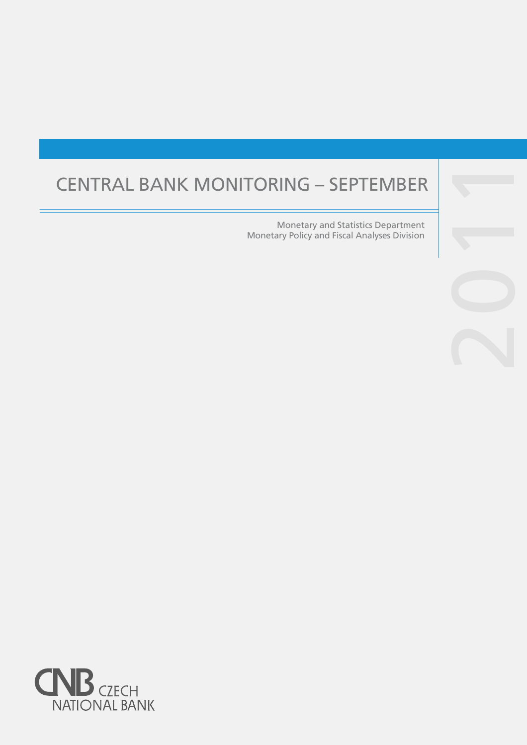# CENTRAL BANK MONITORING – SEPTEMBER

Monetary and Statistics Department Monetary Policy and Fiscal Analyses Division



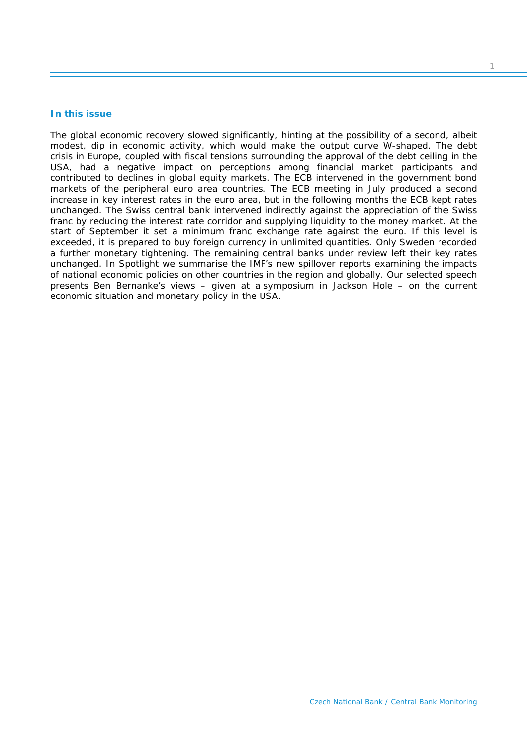# **In this issue**

*The global economic recovery slowed significantly, hinting at the possibility of a second, albeit modest, dip in economic activity, which would make the output curve W-shaped. The debt crisis in Europe, coupled with fiscal tensions surrounding the approval of the debt ceiling in the*  USA, had a negative impact on perceptions among financial market participants and *contributed to declines in global equity markets. The ECB intervened in the government bond markets of the peripheral euro area countries. The ECB meeting in July produced a second increase in key interest rates in the euro area, but in the following months the ECB kept rates unchanged. The Swiss central bank intervened indirectly against the appreciation of the Swiss franc by reducing the interest rate corridor and supplying liquidity to the money market. At the start of September it set a minimum franc exchange rate against the euro. If this level is exceeded, it is prepared to buy foreign currency in unlimited quantities. Only Sweden recorded a further monetary tightening. The remaining central banks under review left their key rates unchanged. In* Spotlight *we summarise the IMF's new spillover reports examining the impacts of national economic policies on other countries in the region and globally. Our selected speech presents Ben Bernanke's views – given at a symposium in Jackson Hole – on the current economic situation and monetary policy in the USA.*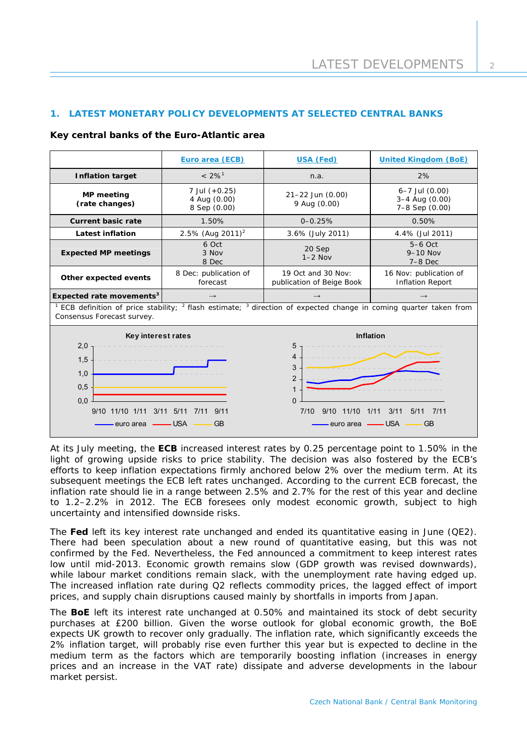# **1. LATEST MONETARY POLICY DEVELOPMENTS AT SELECTED CENTRAL BANKS**

#### **Key central banks of the Euro-Atlantic area**

9/10 11/10 1/11 3/11 5/11 7/11 9/11 euro area **- USA** - GB

|                                                                                                                                                                      | <b>Euro area (ECB)</b>                        | <b>USA (Fed)</b>                                  | <b>United Kingdom (BoE)</b>                              |  |
|----------------------------------------------------------------------------------------------------------------------------------------------------------------------|-----------------------------------------------|---------------------------------------------------|----------------------------------------------------------|--|
| <b>Inflation target</b>                                                                                                                                              | $< 2\%$ <sup>1</sup>                          | n.a.                                              | 2%                                                       |  |
| MP meeting<br>(rate changes)                                                                                                                                         | 7 Jul (+0.25)<br>4 Aug (0.00)<br>8 Sep (0.00) | $21 - 22$ Jun $(0.00)$<br>9 Aug (0.00)            | $6 - 7$ Jul $(0.00)$<br>3-4 Aug (0.00)<br>7-8 Sep (0.00) |  |
| <b>Current basic rate</b>                                                                                                                                            | 1.50%                                         | $0 - 0.25%$                                       | 0.50%                                                    |  |
| <b>Latest inflation</b>                                                                                                                                              | 2.5% (Aug 2011) <sup>2</sup>                  | 3.6% (July 2011)                                  | 4.4% (Jul 2011)                                          |  |
| <b>Expected MP meetings</b>                                                                                                                                          | 6 Oct<br>3 Nov<br>8 Dec                       | 20 Sep<br>$1-2$ Nov                               | $5-6$ Oct<br>$9-10$ Nov<br>$7-8$ Dec                     |  |
| Other expected events                                                                                                                                                | 8 Dec: publication of<br>forecast             | 19 Oct and 30 Nov:<br>publication of Beige Book   | 16 Nov: publication of<br><b>Inflation Report</b>        |  |
| Expected rate movements <sup>3</sup>                                                                                                                                 | $\rightarrow$                                 | $\rightarrow$                                     | $\rightarrow$                                            |  |
| ECB definition of price stability; <sup>2</sup> flash estimate; <sup>3</sup> direction of expected change in coming quarter taken from<br>Consensus Forecast survey. |                                               |                                                   |                                                          |  |
| Key interest rates<br>2,0<br>1,5<br>1,0<br>0,5                                                                                                                       |                                               | <b>Inflation</b><br>5<br>4<br>3<br>$\overline{2}$ |                                                          |  |
| 0,0<br>$\mathbf{0}$                                                                                                                                                  |                                               |                                                   |                                                          |  |

At its July meeting, the **ECB** increased interest rates by 0.25 percentage point to 1.50% in the light of growing upside risks to price stability. The decision was also fostered by the ECB's efforts to keep inflation expectations firmly anchored below 2% over the medium term. At its subsequent meetings the ECB left rates unchanged. According to the current ECB forecast, the inflation rate should lie in a range between 2.5% and 2.7% for the rest of this year and decline to 1.2–2.2% in 2012. The ECB foresees only modest economic growth, subject to high uncertainty and intensified downside risks.

The **Fed** left its key interest rate unchanged and ended its quantitative easing in June (QE2). There had been speculation about a new round of quantitative easing, but this was not confirmed by the Fed. Nevertheless, the Fed announced a commitment to keep interest rates low until mid-2013. Economic growth remains slow (GDP growth was revised downwards), while labour market conditions remain slack, with the unemployment rate having edged up. The increased inflation rate during Q2 reflects commodity prices, the lagged effect of import prices, and supply chain disruptions caused mainly by shortfalls in imports from Japan.

The **BoE** left its interest rate unchanged at 0.50% and maintained its stock of debt security purchases at £200 billion. Given the worse outlook for global economic growth, the BoE expects UK growth to recover only gradually. The inflation rate, which significantly exceeds the 2% inflation target, will probably rise even further this year but is expected to decline in the medium term as the factors which are temporarily boosting inflation (increases in energy prices and an increase in the VAT rate) dissipate and adverse developments in the labour market persist.

7/10 9/10 11/10 1/11 3/11 5/11 7/11 euro area **- USA** - GB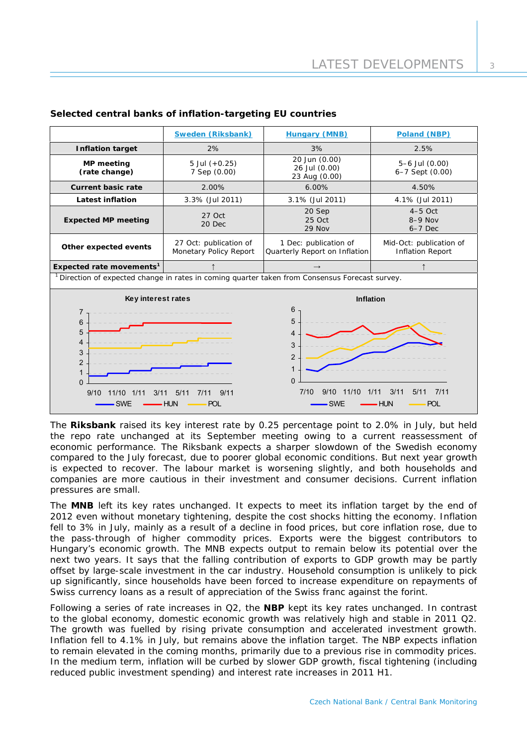|                                                                                                                                                                                           | <b>Sweden (Riksbank)</b>                         | <b>Hungary (MNB)</b>                                                                                        | Poland (NBP)                                       |  |
|-------------------------------------------------------------------------------------------------------------------------------------------------------------------------------------------|--------------------------------------------------|-------------------------------------------------------------------------------------------------------------|----------------------------------------------------|--|
| <b>Inflation target</b>                                                                                                                                                                   | 2%                                               | 3%                                                                                                          | 2.5%                                               |  |
| <b>MP</b> meeting<br>(rate change)                                                                                                                                                        | 5 Jul $(+0.25)$<br>7 Sep (0.00)                  | 20 Jun (0.00)<br>26 Jul (0.00)<br>23 Aug (0.00)                                                             | $5-6$ Jul $(0.00)$<br>6-7 Sept (0.00)              |  |
| <b>Current basic rate</b>                                                                                                                                                                 | 2.00%                                            | 6.00%                                                                                                       | 4.50%                                              |  |
| Latest inflation                                                                                                                                                                          | 3.3% (Jul 2011)                                  | 3.1% (Jul 2011)                                                                                             | 4.1% (Jul 2011)                                    |  |
| <b>Expected MP meeting</b>                                                                                                                                                                | 27 Oct<br>20 Dec                                 | 20 Sep<br>25 Oct<br>29 Nov                                                                                  | $4-5$ Oct<br>$8-9$ Nov<br>$6-7$ Dec                |  |
| Other expected events                                                                                                                                                                     | 27 Oct: publication of<br>Monetary Policy Report | 1 Dec: publication of<br>Quarterly Report on Inflation                                                      | Mid-Oct: publication of<br><b>Inflation Report</b> |  |
| Expected rate movements <sup>1</sup>                                                                                                                                                      |                                                  | $\rightarrow$                                                                                               | ↑                                                  |  |
| Direction of expected change in rates in coming quarter taken from Consensus Forecast survey.                                                                                             |                                                  |                                                                                                             |                                                    |  |
| Key interest rates<br>$\overline{7}$<br>6<br>5<br>4<br>3<br>$\overline{2}$<br>$\Omega$<br>11/10<br>9/11<br>9/10<br>1/11<br>3/11<br>5/11<br>7/11<br><b>POL</b><br><b>SWE</b><br><b>HUN</b> |                                                  | Inflation<br>6<br>5<br>4<br>3<br>$\overline{2}$<br>$\mathbf{1}$<br>0<br>7/10<br>9/10<br>11/10<br><b>SWE</b> | 3/11<br>7/11<br>5/11<br>1/11<br><b>HUN</b><br>POL  |  |

# **Selected central banks of inflation-targeting EU countries**

The **Riksbank** raised its key interest rate by 0.25 percentage point to 2.0% in July, but held the repo rate unchanged at its September meeting owing to a current reassessment of economic performance. The Riksbank expects a sharper slowdown of the Swedish economy compared to the July forecast, due to poorer global economic conditions. But next year growth is expected to recover. The labour market is worsening slightly, and both households and companies are more cautious in their investment and consumer decisions. Current inflation pressures are small.

The **MNB** left its key rates unchanged. It expects to meet its inflation target by the end of 2012 even without monetary tightening, despite the cost shocks hitting the economy. Inflation fell to 3% in July, mainly as a result of a decline in food prices, but core inflation rose, due to the pass-through of higher commodity prices. Exports were the biggest contributors to Hungary's economic growth. The MNB expects output to remain below its potential over the next two years. It says that the falling contribution of exports to GDP growth may be partly offset by large-scale investment in the car industry. Household consumption is unlikely to pick up significantly, since households have been forced to increase expenditure on repayments of Swiss currency loans as a result of appreciation of the Swiss franc against the forint.

Following a series of rate increases in Q2, the **NBP** kept its key rates unchanged. In contrast to the global economy, domestic economic growth was relatively high and stable in 2011 Q2. The growth was fuelled by rising private consumption and accelerated investment growth. Inflation fell to 4.1% in July, but remains above the inflation target. The NBP expects inflation to remain elevated in the coming months, primarily due to a previous rise in commodity prices. In the medium term, inflation will be curbed by slower GDP growth, fiscal tightening (including reduced public investment spending) and interest rate increases in 2011 H1.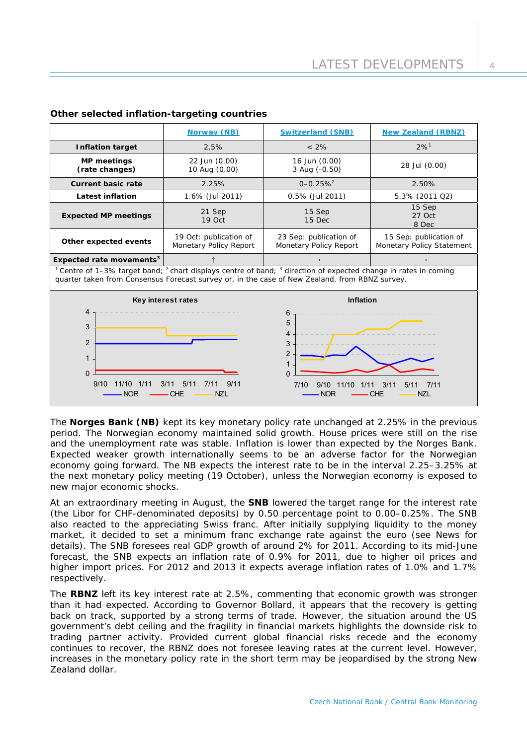$\overline{A}$ 

|                                                                                                                                                                                                                                                                                                | Norway (NB)                                      | <b>Switzerland (SNB)</b>                         | <b>New Zealand (RBNZ)</b>                           |  |
|------------------------------------------------------------------------------------------------------------------------------------------------------------------------------------------------------------------------------------------------------------------------------------------------|--------------------------------------------------|--------------------------------------------------|-----------------------------------------------------|--|
| <b>Inflation target</b>                                                                                                                                                                                                                                                                        | 2.5%                                             | $< 2\%$                                          | $2%^{1}$                                            |  |
| <b>MP</b> meetings<br>(rate changes)                                                                                                                                                                                                                                                           | 22 Jun (0.00)<br>10 Aug (0.00)                   | 16 Jun (0.00)<br>3 Aug (-0.50)                   | 28 Jul (0.00)                                       |  |
| <b>Current basic rate</b>                                                                                                                                                                                                                                                                      | 2.25%                                            | $0 - 0.25%$ <sup>2</sup>                         | 2.50%                                               |  |
| <b>Latest inflation</b>                                                                                                                                                                                                                                                                        | 1.6% (Jul 2011)                                  | 0.5% (Jul 2011)                                  | 5.3% (2011 02)                                      |  |
| <b>Expected MP meetings</b>                                                                                                                                                                                                                                                                    | 21 Sep<br>19 Oct                                 | 15 Sep<br>15 Dec                                 | 15 Sep<br>27 Oct<br>8 Dec                           |  |
| Other expected events                                                                                                                                                                                                                                                                          | 19 Oct: publication of<br>Monetary Policy Report | 23 Sep: publication of<br>Monetary Policy Report | 15 Sep: publication of<br>Monetary Policy Statement |  |
| Expected rate movements <sup>3</sup>                                                                                                                                                                                                                                                           |                                                  | $\rightarrow$                                    | $\rightarrow$                                       |  |
| <sup>1</sup> Centre of 1–3% target band; <sup>2</sup> chart displays centre of band; <sup>3</sup> direction of expected change in rates in coming<br>quarter taken from Consensus Forecast survey or, in the case of New Zealand, from RBNZ survey.                                            |                                                  |                                                  |                                                     |  |
| Key interest rates                                                                                                                                                                                                                                                                             |                                                  | Inflation                                        |                                                     |  |
| 4<br>6<br>5<br>3<br>4<br>$\overline{2}$<br>3<br>$\overline{2}$<br>$\overline{1}$<br>1<br>$\Omega$<br>9/10<br>3/11<br>5/11<br>7/11<br>11/10 1/11<br>9/11<br>9/10<br>3/11<br>7/10<br>11/10<br>1/11<br>7/11<br>5/11<br>$-$ CHE<br><b>NZL</b><br>$-$ CHE<br><b>NZL</b><br><b>NOR</b><br><b>NOR</b> |                                                  |                                                  |                                                     |  |

## **Other selected inflation-targeting countries**

The **Norges Bank (NB)** kept its key monetary policy rate unchanged at 2.25% in the previous period. The Norwegian economy maintained solid growth. House prices were still on the rise and the unemployment rate was stable. Inflation is lower than expected by the Norges Bank. Expected weaker growth internationally seems to be an adverse factor for the Norwegian economy going forward. The NB expects the interest rate to be in the interval 2.25–3.25% at the next monetary policy meeting (19 October), unless the Norwegian economy is exposed to new major economic shocks.

At an extraordinary meeting in August, the **SNB** lowered the target range for the interest rate (the Libor for CHF-denominated deposits) by 0.50 percentage point to 0.00–0.25%. The SNB also reacted to the appreciating Swiss franc. After initially supplying liquidity to the money market, it decided to set a minimum franc exchange rate against the euro (see *News* for details). The SNB foresees real GDP growth of around 2% for 2011. According to its mid-June forecast, the SNB expects an inflation rate of 0.9% for 2011, due to higher oil prices and higher import prices. For 2012 and 2013 it expects average inflation rates of 1.0% and 1.7% respectively.

The **RBNZ** left its key interest rate at 2.5%, commenting that economic growth was stronger than it had expected. According to Governor Bollard, it appears that the recovery is getting back on track, supported by a strong terms of trade. However, the situation around the US government's debt ceiling and the fragility in financial markets highlights the downside risk to trading partner activity. Provided current global financial risks recede and the economy continues to recover, the RBNZ does not foresee leaving rates at the current level. However, increases in the monetary policy rate in the short term may be jeopardised by the strong New Zealand dollar.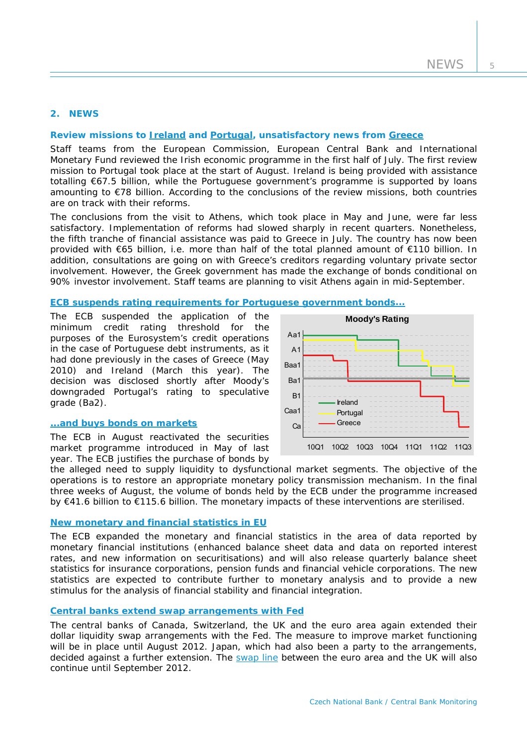# **2. NEWS**

# **Review missions to [Ireland](http://www.ecb.europa.eu/press/pr/date/2011/html/pr110714.en.html) and [Portugal](http://www.ecb.europa.eu/press/pr/date/2011/html/pr110812.en.html), unsatisfactory news from [Greece](http://ec.europa.eu/economy_finance/publications/occasional_paper/2011/pdf/ocp82_en.pdf)**

Staff teams from the European Commission, European Central Bank and International Monetary Fund reviewed the Irish economic programme in the first half of July. The first review mission to Portugal took place at the start of August. Ireland is being provided with assistance totalling €67.5 billion, while the Portuguese government's programme is supported by loans amounting to €78 billion. According to the conclusions of the review missions, both countries are on track with their reforms.

The conclusions from the visit to Athens, which took place in May and June, were far less satisfactory. Implementation of reforms had slowed sharply in recent quarters. Nonetheless, the fifth tranche of financial assistance was paid to Greece in July. The country has now been provided with €65 billion, i.e. more than half of the total planned amount of €110 billion. In addition, consultations are going on with Greece's creditors regarding voluntary private sector involvement. However, the Greek government has made the exchange of bonds conditional on 90% investor involvement. Staff teams are planning to visit Athens again in mid-September.

#### **[ECB suspends rating requirements for Portuguese government bonds](http://www.ecb.europa.eu/press/pr/date/2011/html/pr110707_1.en.html)...**

The ECB suspended the application of the minimum credit rating threshold for the purposes of the Eurosystem's credit operations in the case of Portuguese debt instruments, as it had done previously in the cases of Greece (May 2010) and Ireland (March this year). The decision was disclosed shortly after Moody's downgraded Portugal's rating to speculative grade (Ba2).

# **[...and buys bonds on markets](http://www.ecb.europa.eu/press/pr/wfs/2011/html/fs110830.en.html)**

The ECB in August reactivated the securities market programme introduced in May of last year. The ECB justifies the purchase of bonds by



the alleged need to supply liquidity to dysfunctional market segments. The objective of the operations is to restore an appropriate monetary policy transmission mechanism. In the final three weeks of August, the volume of bonds held by the ECB under the programme increased by €41.6 billion to €115.6 billion. The monetary impacts of these interventions are sterilised.

#### **[New monetary and financial statistics in EU](http://www.ecb.europa.eu/press/pr/date/2011/html/pr110627.en.html)**

The ECB expanded the monetary and financial statistics in the area of data reported by monetary financial institutions (enhanced balance sheet data and data on reported interest rates, and new information on securitisations) and will also release quarterly balance sheet statistics for insurance corporations, pension funds and financial vehicle corporations. The new statistics are expected to contribute further to monetary analysis and to provide a new stimulus for the analysis of financial stability and financial integration.

#### **[Central banks extend swap arrangements with Fed](http://www.federalreserve.gov/newsevents/press/monetary/20110629a.htm)**

The central banks of Canada, Switzerland, the UK and the euro area again extended their dollar liquidity swap arrangements with the Fed. The measure to improve market functioning will be in place until August 2012. Japan, which had also been a party to the arrangements, decided against a further extension. The [swap line](http://www.bankofengland.co.uk/publications/news/2011/078.htm) between the euro area and the UK will also continue until September 2012.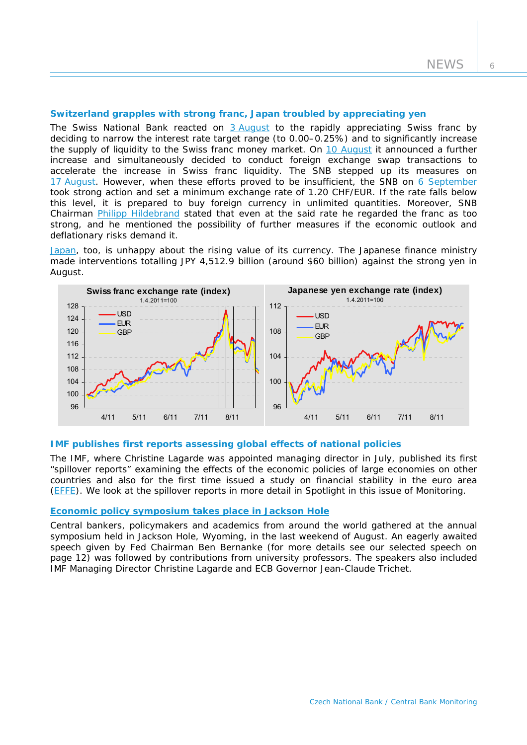#### **Switzerland grapples with strong franc, Japan troubled by appreciating yen**

The Swiss National Bank reacted on [3 August](http://www.snb.ch/en/mmr/reference/pre_20110803/source/pre_20110803.en.pdf) to the rapidly appreciating Swiss franc by deciding to narrow the interest rate target range (to 0.00–0.25%) and to significantly increase the supply of liquidity to the Swiss franc money market. On [10 August](http://www.snb.ch/en/mmr/reference/pre_20110810/source/pre_20110810.en.pdf) it announced a further increase and simultaneously decided to conduct foreign exchange swap transactions to accelerate the increase in Swiss franc liquidity. The SNB stepped up its measures on [17 August.](http://www.snb.ch/en/mmr/reference/pre_20110817/source/pre_20110817.en.pdf) However, when these efforts proved to be insufficient, the SNB on [6 September](http://www.snb.ch/en/mmr/reference/pre_20110906/source/pre_20110906.en.pdf) took strong action and set a minimum exchange rate of 1.20 CHF/EUR. If the rate falls below this level, it is prepared to buy foreign currency in unlimited quantities. Moreover, SNB Chairman [Philipp Hildebrand](http://www.snb.ch/en/mmr/speeches/id/ref_20110906_pmh/source/ref_20110906_pmh.en.pdf) stated that even at the said rate he regarded the franc as too strong, and he mentioned the possibility of further measures if the economic outlook and deflationary risks demand it.

[Japan,](http://www.mof.go.jp/english/international_policy/reference/feio/monthly/110831.htm) too, is unhappy about the rising value of its currency. The Japanese finance ministry made interventions totalling JPY 4,512.9 billion (around \$60 billion) against the strong yen in August.



#### **IMF publishes first reports assessing global effects of national policies**

The IMF, where Christine Lagarde was appointed managing director in July, published its first "spillover reports" examining the effects of the economic policies of large economies on other countries and also for the first time issued a study on financial stability in the euro area [\(EFFE](http://www.imf.org/external/pubs/ft/scr/2011/cr11186.pdf)). We look at the spillover reports in more detail in *Spotlight* in this issue of *Monitoring*.

## **[Economic policy symposium takes place in Jackson Hole](http://www.kc.frb.org/publications/research/escp/escp-2011.cfm)**

Central bankers, policymakers and academics from around the world gathered at the annual symposium held in Jackson Hole, Wyoming, in the last weekend of August. An eagerly awaited speech given by Fed Chairman Ben Bernanke (for more details see our selected speech on page 12) was followed by contributions from university professors. The speakers also included IMF Managing Director Christine Lagarde and ECB Governor Jean-Claude Trichet.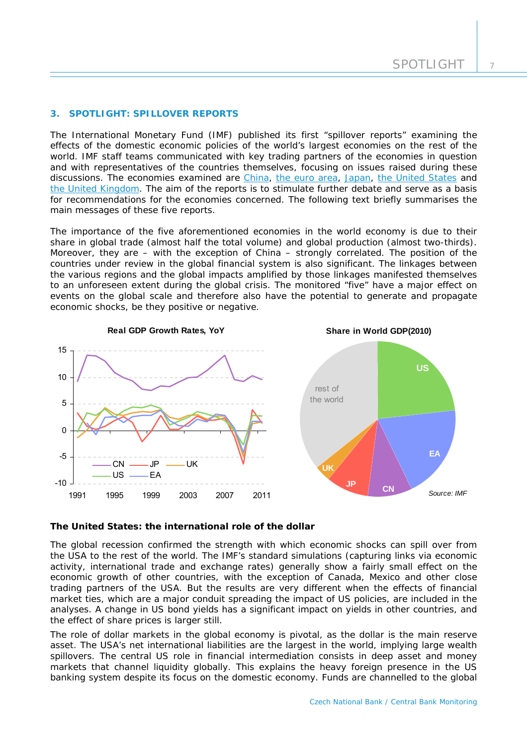# **3. SPOTLIGHT: SPILLOVER REPORTS**

*The International Monetary Fund (IMF) published its first "spillover reports" examining the*  effects of the domestic economic policies of the world's largest economies on the rest of the *world. IMF staff teams communicated with key trading partners of the economies in question and with representatives of the countries themselves, focusing on issues raised during these discussions. The economies examined are [China,](http://www.imf.org/external/pubs/ft/scr/2011/cr11193.pdf) [the euro area](http://www.imf.org/external/pubs/ft/scr/2011/cr11185.pdf), [Japan](http://www.imf.org/external/pubs/ft/scr/2011/cr11183.pdf), [the United States](http://www.imf.org/external/pubs/ft/scr/2011/cr11203.pdf) and [the United Kingdom](http://www.imf.org/external/pubs/ft/scr/2011/cr11225.pdf). The aim of the reports is to stimulate further debate and serve as a basis for recommendations for the economies concerned. The following text briefly summarises the main messages of these five reports.* 

The importance of the five aforementioned economies in the world economy is due to their share in global trade (almost half the total volume) and global production (almost two-thirds). Moreover, they are – with the exception of China – strongly correlated. The position of the countries under review in the global financial system is also significant. The linkages between the various regions and the global impacts amplified by those linkages manifested themselves to an unforeseen extent during the global crisis. The monitored "five" have a major effect on events on the global scale and therefore also have the potential to generate and propagate economic shocks, be they positive or negative.



#### *The United States: the international role of the dollar*

The global recession confirmed the strength with which economic shocks can spill over from the USA to the rest of the world. The IMF's standard simulations (capturing links via economic activity, international trade and exchange rates) generally show a fairly small effect on the economic growth of other countries, with the exception of Canada, Mexico and other close trading partners of the USA. But the results are very different when the effects of financial market ties, which are a major conduit spreading the impact of US policies, are included in the analyses. A change in US bond yields has a significant impact on yields in other countries, and the effect of share prices is larger still.

The role of dollar markets in the global economy is pivotal, as the dollar is the main reserve asset. The USA's net international liabilities are the largest in the world, implying large wealth spillovers. The central US role in financial intermediation consists in deep asset and money markets that channel liquidity globally. This explains the heavy foreign presence in the US banking system despite its focus on the domestic economy. Funds are channelled to the global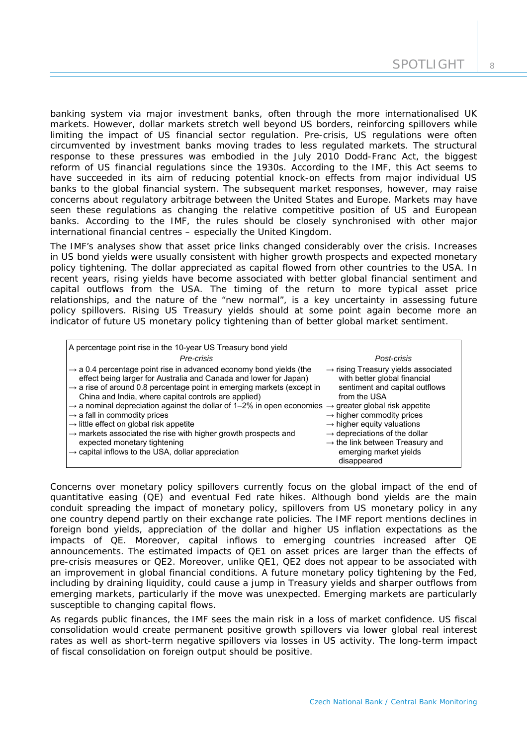banking system via major investment banks, often through the more internationalised UK markets. However, dollar markets stretch well beyond US borders, reinforcing spillovers while limiting the impact of US financial sector regulation. Pre-crisis, US regulations were often circumvented by investment banks moving trades to less regulated markets. The structural response to these pressures was embodied in the July 2010 Dodd-Franc Act, the biggest reform of US financial regulations since the 1930s. According to the IMF, this Act seems to have succeeded in its aim of reducing potential knock-on effects from major individual US banks to the global financial system. The subsequent market responses, however, may raise concerns about regulatory arbitrage between the United States and Europe. Markets may have seen these regulations as changing the relative competitive position of US and European banks. According to the IMF, the rules should be closely synchronised with other major international financial centres – especially the United Kingdom.

The IMF's analyses show that asset price links changed considerably over the crisis. Increases in US bond yields were usually consistent with higher growth prospects and expected monetary policy tightening. The dollar appreciated as capital flowed from other countries to the USA. In recent years, rising yields have become associated with better global financial sentiment and capital outflows from the USA. The timing of the return to more typical asset price relationships, and the nature of the "new normal", is a key uncertainty in assessing future policy spillovers. Rising US Treasury yields should at some point again become more an indicator of future US monetary policy tightening than of better global market sentiment.

| A percentage point rise in the 10-year US Treasury bond yield                                                                                                                                                                                                                                                                                                                                                                                                                                                                                                                                                                                                                                                       |                                                                                                                                                                                                                                                                                                                                            |
|---------------------------------------------------------------------------------------------------------------------------------------------------------------------------------------------------------------------------------------------------------------------------------------------------------------------------------------------------------------------------------------------------------------------------------------------------------------------------------------------------------------------------------------------------------------------------------------------------------------------------------------------------------------------------------------------------------------------|--------------------------------------------------------------------------------------------------------------------------------------------------------------------------------------------------------------------------------------------------------------------------------------------------------------------------------------------|
| Pre-crisis                                                                                                                                                                                                                                                                                                                                                                                                                                                                                                                                                                                                                                                                                                          | Post-crisis                                                                                                                                                                                                                                                                                                                                |
| $\rightarrow$ a 0.4 percentage point rise in advanced economy bond yields (the<br>effect being larger for Australia and Canada and lower for Japan)<br>$\rightarrow$ a rise of around 0.8 percentage point in emerging markets (except in<br>China and India, where capital controls are applied)<br>$\rightarrow$ a nominal depreciation against the dollar of 1–2% in open economies $\rightarrow$ greater global risk appetite<br>$\rightarrow$ a fall in commodity prices<br>$\rightarrow$ little effect on global risk appetite<br>$\rightarrow$ markets associated the rise with higher growth prospects and<br>expected monetary tightening<br>$\rightarrow$ capital inflows to the USA, dollar appreciation | $\rightarrow$ rising Treasury yields associated<br>with better global financial<br>sentiment and capital outflows<br>from the USA<br>$\rightarrow$ higher commodity prices<br>$\rightarrow$ higher equity valuations<br>$\rightarrow$ depreciations of the dollar<br>$\rightarrow$ the link between Treasury and<br>emerging market yields |
|                                                                                                                                                                                                                                                                                                                                                                                                                                                                                                                                                                                                                                                                                                                     | disappeared                                                                                                                                                                                                                                                                                                                                |

Concerns over monetary policy spillovers currently focus on the global impact of the end of quantitative easing (QE) and eventual Fed rate hikes. Although bond yields are the main conduit spreading the impact of monetary policy, spillovers from US monetary policy in any one country depend partly on their exchange rate policies. The IMF report mentions declines in foreign bond yields, appreciation of the dollar and higher US inflation expectations as the impacts of QE. Moreover, capital inflows to emerging countries increased after QE announcements. The estimated impacts of QE1 on asset prices are larger than the effects of pre-crisis measures or QE2. Moreover, unlike QE1, QE2 does not appear to be associated with an improvement in global financial conditions. A future monetary policy tightening by the Fed, including by draining liquidity, could cause a jump in Treasury yields and sharper outflows from emerging markets, particularly if the move was unexpected. Emerging markets are particularly susceptible to changing capital flows.

As regards public finances, the IMF sees the main risk in a loss of market confidence. US fiscal consolidation would create permanent positive growth spillovers via lower global real interest rates as well as short-term negative spillovers via losses in US activity. The long-term impact of fiscal consolidation on foreign output should be positive.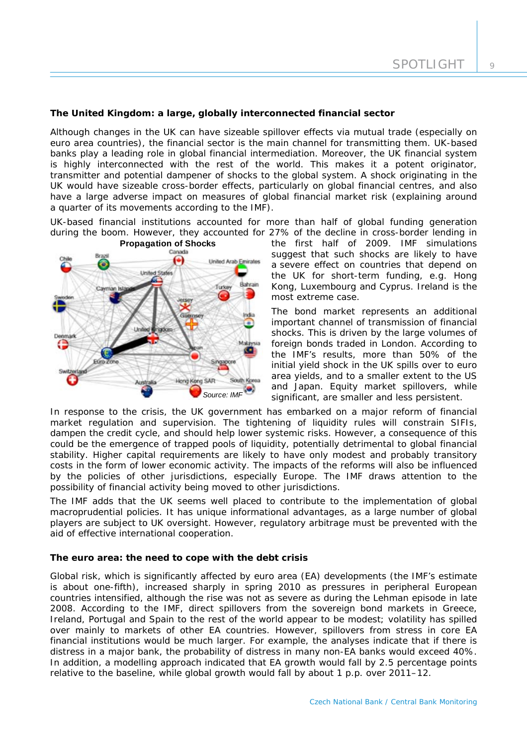# *The United Kingdom: a large, globally interconnected financial sector*

Although changes in the UK can have sizeable spillover effects via mutual trade (especially on euro area countries), the financial sector is the main channel for transmitting them. UK-based banks play a leading role in global financial intermediation. Moreover, the UK financial system is highly interconnected with the rest of the world. This makes it a potent originator, transmitter and potential dampener of shocks to the global system. A shock originating in the UK would have sizeable cross-border effects, particularly on global financial centres, and also have a large adverse impact on measures of global financial market risk (explaining around a quarter of its movements according to the IMF).

UK-based financial institutions accounted for more than half of global funding generation during the boom. However, they accounted for 27% of the decline in cross-border lending in



the first half of 2009. IMF simulations suggest that such shocks are likely to have a severe effect on countries that depend on the UK for short-term funding, e.g. Hong Kong, Luxembourg and Cyprus. Ireland is the most extreme c ase.

The bond market represents an additional important channel of transmission of financial shocks. This is driven by the large volumes of foreign bonds traded in London. According to the IMF's results, more than 50% of the initial yield shock in the UK spills over to euro area yields, and to a smaller extent to the US and Japan. Equity market spillovers, while significant, are smaller and less persistent.

In response to the crisis, the UK government has embarked on a major reform of financial market regulation and supervision. The tightening of liquidity rules will constrain SIFIs, dampen the credit cycle, and should help lower systemic risks. However, a consequence of this could be the emergence of trapped pools of liquidity, potentially detrimental to global financial stability. Higher capital requirements are likely to have only modest and probably transitory costs in the form of lower economic activity. The impacts of the reforms will also be influenced by the policies of other jurisdictions, especially Europe. The IMF draws attention to the possibility of financial activity being moved to other jurisdictions.

The IMF adds that the UK seems well placed to contribute to the implementation of global macroprudential policies. It has unique informational advantages, as a large number of global players are subject to UK oversight. However, regulatory arbitrage must be prevented with the aid of effective international cooperation.

#### *The euro area: the need to cope with the debt crisis*

Global risk, which is significantly affected by euro area (EA) developments (the IMF's estimate is about one-fifth), increased sharply in spring 2010 as pressures in peripheral European countries intensified, although the rise was not as severe as during the Lehman episode in late 2008. According to the IMF, direct spillovers from the sovereign bond markets in Greece, Ireland, Portugal and Spain to the rest of the world appear to be modest; volatility has spilled over mainly to markets of other EA countries. However, spillovers from stress in core EA financial institutions would be much larger. For example, the analyses indicate that if there is distress in a major bank, the probability of distress in many non-EA banks would exceed 40%. In addition, a modelling approach indicated that EA growth would fall by 2.5 percentage points relative to the baseline, while global growth would fall by about 1 p.p. over 2011–12.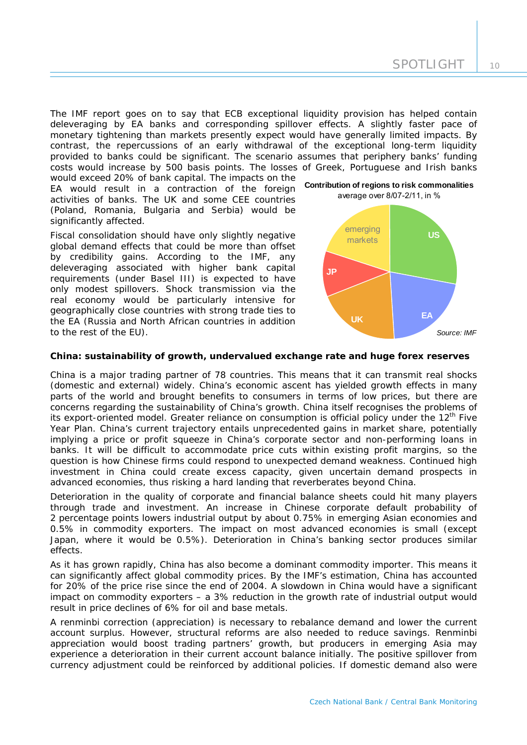The IMF report goes on to say that ECB exceptional liquidity provision has helped contain deleveraging by EA banks and corresponding spillover effects. A slightly faster pace of monetary tightening than markets presently expect would have generally limited impacts. By contrast, the repercussions of an early withdrawal of the exceptional long-term liquidity provided to banks could be significant. The scenario assumes that periphery banks' funding costs would increase by 500 basis points. The losses of Greek, Portuguese and Irish banks

would exceed 20% of bank capital. The impacts on the EA would result in a contraction of the foreign activities of banks. The UK and some CEE countries (Poland, Romania, Bulgaria and Serbia) would be significantly affected.

Fiscal consolidation should have only slightly negative global demand effects that could be more than offset by credibility gains. According to the IMF, any deleveraging associated with higher bank capital requirements (under Basel III) is expected to have only modest spillovers. Shock transmission via the real economy would be particularly intensive for geographically close countries with strong trade ties to the EA (Russia and North African countries in addition to the rest of the EU).

**US** emerging markets average over 8/07-2/11, in %

**Contribution of regions to risk commonalities**



## *China: sustainability of growth, undervalued exchange rate and huge forex reserves*

China is a major trading partner of 78 countries. This means that it can transmit real shocks (domestic and external) widely. China's economic ascent has yielded growth effects in many parts of the world and brought benefits to consumers in terms of low prices, but there are concerns regarding the sustainability of China's growth. China itself recognises the problems of its export-oriented model. Greater reliance on consumption is official policy under the  $12<sup>th</sup>$  Five Year Plan. China's current trajectory entails unprecedented gains in market share, potentially implying a price or profit squeeze in China's corporate sector and non-performing loans in banks. It will be difficult to accommodate price cuts within existing profit margins, so the question is how Chinese firms could respond to unexpected demand weakness. Continued high investment in China could create excess capacity, given uncertain demand prospects in advanced economies, thus risking a hard landing that reverberates beyond China.

Deterioration in the quality of corporate and financial balance sheets could hit many players through trade and investment. An increase in Chinese corporate default probability of 2 percentage points lowers industrial output by about 0.75% in emerging Asian economies and 0.5% in commodity exporters. The impact on most advanced economies is small (except Japan, where it would be 0.5%). Deterioration in China's banking sector produces similar effects.

As it has grown rapidly, China has also become a dominant commodity importer. This means it can significantly affect global commodity prices. By the IMF's estimation, China has accounted for 20% of the price rise since the end of 2004. A slowdown in China would have a significant impact on commodity exporters – a 3% reduction in the growth rate of industrial output would result in price declines of 6% for oil and base metals.

A renminbi correction (appreciation) is necessary to rebalance demand and lower the current account surplus. However, structural reforms are also needed to reduce savings. Renminbi appreciation would boost trading partners' growth, but producers in emerging Asia may experience a deterioration in their current account balance initially. The positive spillover from currency adjustment could be reinforced by additional policies. If domestic demand also were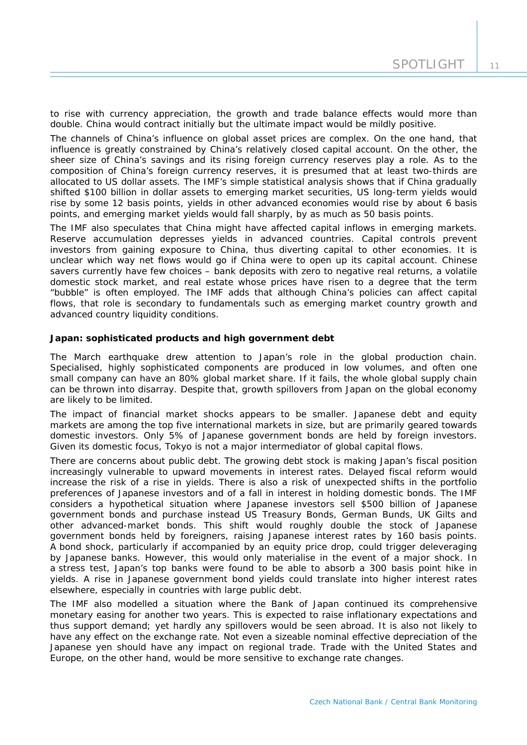to rise with currency appreciation, the growth and trade balance effects would more than double. China would contract initially but the ultimate impact would be mildly positive.

The channels of China's influence on global asset prices are complex. On the one hand, that influence is greatly constrained by China's relatively closed capital account. On the other, the sheer size of China's savings and its rising foreign currency reserves play a role. As to the composition of China's foreign currency reserves, it is presumed that at least two-thirds are allocated to US dollar assets. The IMF's simple statistical analysis shows that if China gradually shifted \$100 billion in dollar assets to emerging market securities, US long-term yields would rise by some 12 basis points, yields in other advanced economies would rise by about 6 basis points, and emerging market yields would fall sharply, by as much as 50 basis points.

The IMF also speculates that China might have affected capital inflows in emerging markets. Reserve accumulation depresses yields in advanced countries. Capital controls prevent investors from gaining exposure to China, thus diverting capital to other economies. It is unclear which way net flows would go if China were to open up its capital account. Chinese savers currently have few choices – bank deposits with zero to negative real returns, a volatile domestic stock market, and real estate whose prices have risen to a degree that the term "bubble" is often employed. The IMF adds that although China's policies can affect capital flows, that role is secondary to fundamentals such as emerging market country growth and advanced country liquidity conditions.

#### *Japan: sophisticated products and high government debt*

The March earthquake drew attention to Japan's role in the global production chain. Specialised, highly sophisticated components are produced in low volumes, and often one small company can have an 80% global market share. If it fails, the whole global supply chain can be thrown into disarray. Despite that, growth spillovers from Japan on the global economy are likely to be limited.

The impact of financial market shocks appears to be smaller. Japanese debt and equity markets are among the top five international markets in size, but are primarily geared towards domestic investors. Only 5% of Japanese government bonds are held by foreign investors. Given its domestic focus, Tokyo is not a major intermediator of global capital flows.

There are concerns about public debt. The growing debt stock is making Japan's fiscal position increasingly vulnerable to upward movements in interest rates. Delayed fiscal reform would increase the risk of a rise in yields. There is also a risk of unexpected shifts in the portfolio preferences of Japanese investors and of a fall in interest in holding domestic bonds. The IMF considers a hypothetical situation where Japanese investors sell \$500 billion of Japanese government bonds and purchase instead US Treasury Bonds, German Bunds, UK Gilts and other advanced-market bonds. This shift would roughly double the stock of Japanese government bonds held by foreigners, raising Japanese interest rates by 160 basis points. A bond shock, particularly if accompanied by an equity price drop, could trigger deleveraging by Japanese banks. However, this would only materialise in the event of a major shock. In a stress test, Japan's top banks were found to be able to absorb a 300 basis point hike in yields. A rise in Japanese government bond yields could translate into higher interest rates elsewhere, especially in countries with large public debt.

The IMF also modelled a situation where the Bank of Japan continued its comprehensive monetary easing for another two years. This is expected to raise inflationary expectations and thus support demand; yet hardly any spillovers would be seen abroad. It is also not likely to have any effect on the exchange rate. Not even a sizeable nominal effective depreciation of the Japanese yen should have any impact on regional trade. Trade with the United States and Europe, on the other hand, would be more sensitive to exchange rate changes.